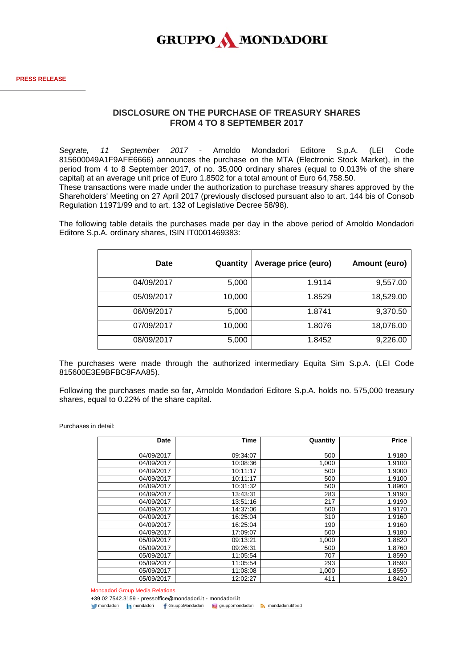

## **DISCLOSURE ON THE PURCHASE OF TREASURY SHARES FROM 4 TO 8 SEPTEMBER 2017**

*Segrate, 11 September 2017* - Arnoldo Mondadori Editore S.p.A. (LEI Code 815600049A1F9AFE6666) announces the purchase on the MTA (Electronic Stock Market), in the period from 4 to 8 September 2017, of no. 35,000 ordinary shares (equal to 0.013% of the share capital) at an average unit price of Euro 1.8502 for a total amount of Euro 64,758.50.

These transactions were made under the authorization to purchase treasury shares approved by the Shareholders' Meeting on 27 April 2017 (previously disclosed pursuant also to art. 144 bis of Consob Regulation 11971/99 and to art. 132 of Legislative Decree 58/98).

The following table details the purchases made per day in the above period of Arnoldo Mondadori Editore S.p.A. ordinary shares, ISIN IT0001469383:

| <b>Date</b> | Quantity | Average price (euro) | Amount (euro) |
|-------------|----------|----------------------|---------------|
| 04/09/2017  | 5,000    | 1.9114               | 9,557.00      |
| 05/09/2017  | 10,000   | 1.8529               | 18,529.00     |
| 06/09/2017  | 5,000    | 1.8741               | 9,370.50      |
| 07/09/2017  | 10,000   | 1.8076               | 18,076.00     |
| 08/09/2017  | 5,000    | 1.8452               | 9,226.00      |

The purchases were made through the authorized intermediary Equita Sim S.p.A. (LEI Code 815600E3E9BFBC8FAA85).

Following the purchases made so far, Arnoldo Mondadori Editore S.p.A. holds no. 575,000 treasury shares, equal to 0.22% of the share capital.

Purchases in detail:

| Date       | Time     | Quantity | Price  |
|------------|----------|----------|--------|
| 04/09/2017 | 09:34:07 | 500      | 1.9180 |
| 04/09/2017 | 10:08:36 | 1,000    | 1.9100 |
| 04/09/2017 | 10:11:17 | 500      | 1.9000 |
| 04/09/2017 | 10:11:17 | 500      | 1.9100 |
| 04/09/2017 | 10:31:32 | 500      | 1.8960 |
| 04/09/2017 | 13:43:31 | 283      | 1.9190 |
| 04/09/2017 | 13:51:16 | 217      | 1.9190 |
| 04/09/2017 | 14:37:06 | 500      | 1.9170 |
| 04/09/2017 | 16:25:04 | 310      | 1.9160 |
| 04/09/2017 | 16:25:04 | 190      | 1.9160 |
| 04/09/2017 | 17:09:07 | 500      | 1.9180 |
| 05/09/2017 | 09:13:21 | 1,000    | 1.8820 |
| 05/09/2017 | 09:26:31 | 500      | 1.8760 |
| 05/09/2017 | 11:05:54 | 707      | 1.8590 |
| 05/09/2017 | 11:05:54 | 293      | 1.8590 |
| 05/09/2017 | 11:08:08 | 1,000    | 1.8550 |
| 05/09/2017 | 12:02:27 | 411      | 1.8420 |

Mondadori Group Media Relations

+39 02 7542.3159 - pressoffice@mondadori.it - [mondadori.it](http://www.mondadori.it/)

[mondadori](http://www.linkedin.com/company/mondadori) in mondadori f [GruppoMondadori](http://www.facebook.com/GruppoMondadori) o [gruppomondadori](https://www.instagram.com/gruppomondadori/) [mondadori.it/feed](http://www.mondadori.it/feed)